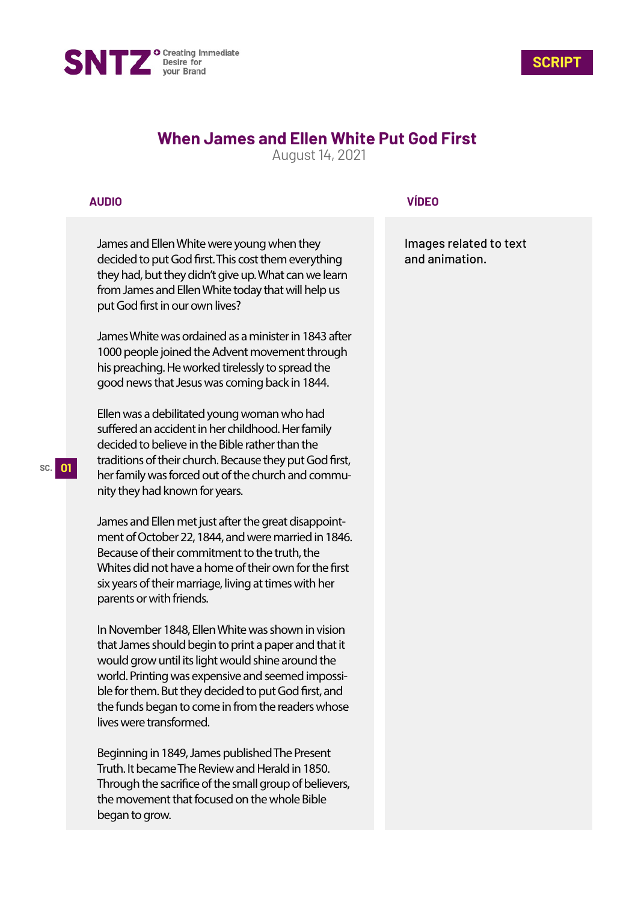



# **When James and Ellen White Put God First**

August 14, 2021

## **AUDIO**

James and Ellen White were young when they decided to put God first. This cost them everything they had, but they didn't give up. What can we learn from James and Ellen White today that will help us put God first in our own lives?

James White was ordained as a minister in 1843 after 1000 people joined the Advent movement through his preaching. He worked tirelessly to spread the good news that Jesus was coming back in 1844.

Ellen was a debilitated young woman who had suffered an accident in her childhood. Her family decided to believe in the Bible rather than the traditions of their church. Because they put God first, her family was forced out of the church and community they had known for years.

James and Ellen met just after the great disappointment of October 22, 1844, and were married in 1846. Because of their commitment to the truth, the Whites did not have a home of their own for the first six years of their marriage, living at times with her parents or with friends.

In November 1848, Ellen White was shown in vision that James should begin to print a paper and that it would grow until its light would shine around the world. Printing was expensive and seemed impossible for them. But they decided to put God first, and the funds began to come in from the readers whose lives were transformed.

Beginning in 1849, James published The Present Truth. It became The Review and Herald in 1850. Through the sacrifice of the small group of believers. the movement that focused on the whole Bible began to grow.

### **VÍDEO**

Images related to text and animation.